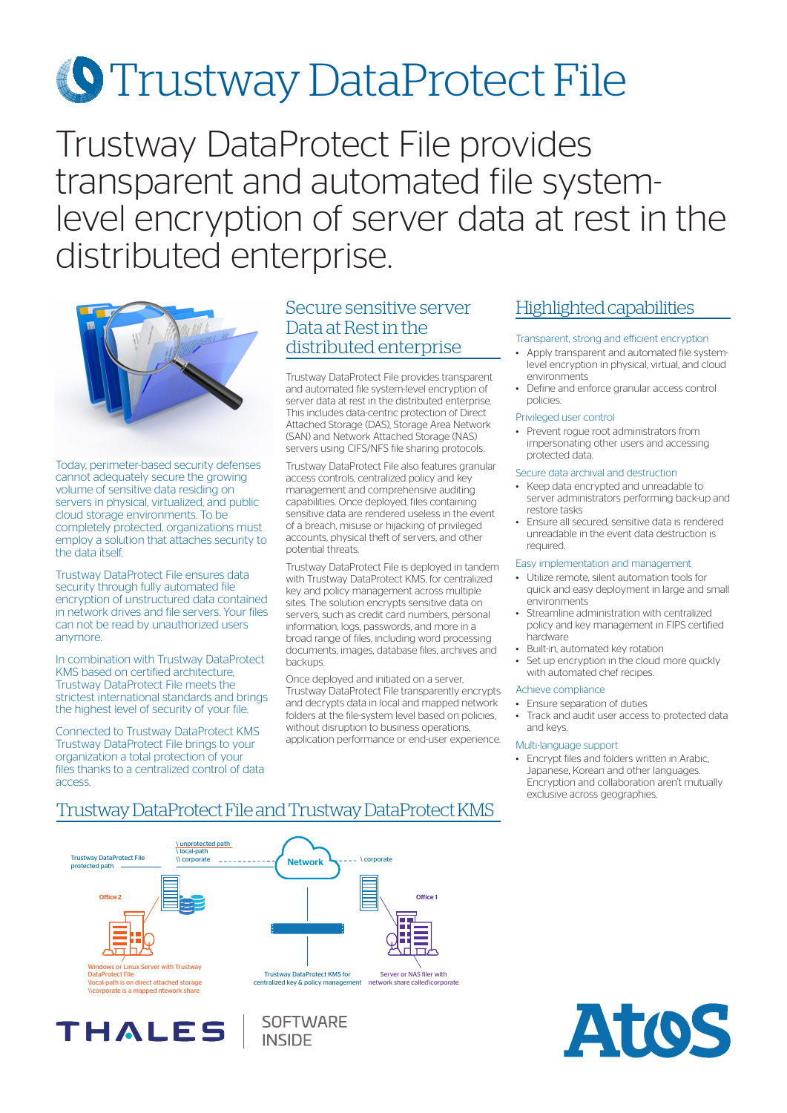# **S**Trustway DataProtect File

Trustway DataProtect File provides transparent and automated file systemlevel encryption of server data at rest in the distributed enterprise.



Today, perimeter-based security defenses cannot adequately secure the growing volume of sensitive data residing on servers in physical, virtualized, and public cloud storage environments. To be completely protected, organizations must employ a solution that attaches security to the data itself.

Trustway DataProtect File ensures data security through fully automated file encryption of unstructured data contained in network drives and file servers. Your files can not be read by unauthorized users anymore.

In combination with Trustway DataProtect KMS based on certified architecture, Trustway DataProtect File meets the strictest international standards and brings the highest level of security of your file.

Connected to Trustway DataProtect KMS Trustway DataProtect File brings to your organization a total protection of your files thanks to a centralized control of data access.

## Secure sensitive server Data at Rest in the distributed enterprise<br>Apply transparent, strong and efficient encryption<br>Apply transparent and automated file systems

Trustway DataProtect File provides transparent and automated file system-level encryption of server data at rest in the distributed enterprise. This includes data-centric protection of Direct Attached Storage (DAS), Storage Area Network (SAN) and Network Attached Storage (NAS) servers using CIFS/NFS file sharing protocols.

Trustway DataProtect File also features granular access controls, centralized policy and key management and comprehensive auditing capabilities. Once deployed, files containing sensitive data are rendered useless in the event of a breach, misuse or hijacking of privileged accounts, physical theft of servers, and other potential threats.

Trustway DataProtect File is deployed in tandem with Trustway DataProtect KMS, for centralized key and policy management across multiple sites. The solution encrypts sensitive data on servers, such as credit card numbers, personal information, logs, passwords, and more in a broad range of files, including word processing documents, images, database files, archives and backups.

Once deployed and initiated on a server, Trustway DataProtect File transparently encrypts and decrypts data in local and mapped network folders at the file-system level based on policies, without disruption to business operations, application performance or end-user experience.

## Highlighted capabilities

- Apply transparent and automated file systemlevel encryption in physical, virtual, and cloud environments
- Define and enforce granular access control policies.

#### Privileged user control

• Prevent rogue root administrators from impersonating other users and accessing protected data.

#### Secure data archival and destruction

- Keep data encrypted and unreadable to server administrators performing back-up and restore tasks
- Ensure all secured, sensitive data is rendered unreadable in the event data destruction is required.

#### Easy implementation and management

- Utilize remote, silent automation tools for quick and easy deployment in large and small environments
- Streamline administration with centralized policy and key management in FIPS certified hardware
- Built-in, automated key rotation
- Set up encryption in the cloud more quickly with automated chef recipes.

#### Achieve compliance

- Ensure separation of duties
- Track and audit user access to protected data and keys.

#### Multi-language support

• Encrypt files and folders written in Arabic, Japanese, Korean and other languages. Encryption and collaboration aren't mutually exclusive across geographies.



**SOFTWARE** 

**INSIDE** 

## Trustway DataProtect File and Trustway DataProtect KMS